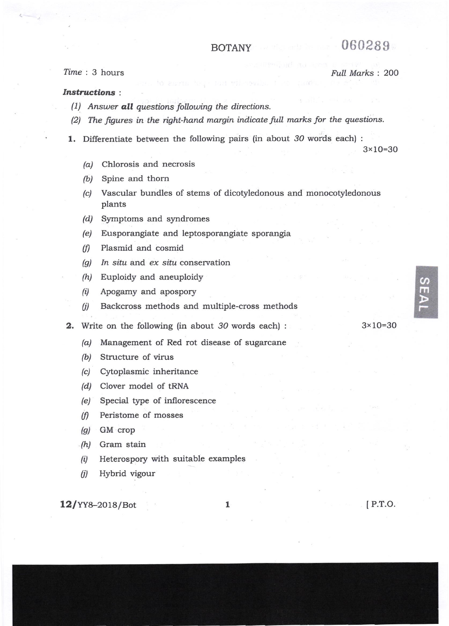## BOTANY 060289

## Time : 3 hours Full Marks : 200

## Instructions :

- $(1)$  Answer all questions following the directions.
- (2) The figures in the right-hand margin indicate full marks for the questions.
- 1. Differentiate between the following pairs (in about 30 words each) :

3x 1O=30

- /a/ Chlorosis and necrosis
- /b/ Spine and thorn
- (c) Vascular bundles of stems of dicotyledonous and monocotyledonous plants
- (d/ Symptoms and syndromes
- (e) Eusporangiate and leptosporangiate sporangia
- $(f)$  Plasmid and cosmid
- $\left( q \right)$  In situ and ex situ conservation
- (h) Euploidy and aneuploidy
- (i) Apogamy and apospory
- (j) Backcross methods and multiple-cross methods

2. Write on the following (in about 3O words each) :

- /a/ Management of Red rot disease of sugarcane
- (b) Structure of virus
- (c) Cytoplasmic inheritance
- (d) Clover model of tRNA
- (e) Special type of inllorescence
- (f) Peristome of mosses
- @) GM crop
- . (h/ Gram stain
- $(i)$  Heterospory with suitable examples
- (j) Hybrid vigour

 $12$ /YY8-2018/Bot 1

lP.r.o.

3x 1O=30

 $\boldsymbol{\omega}$ m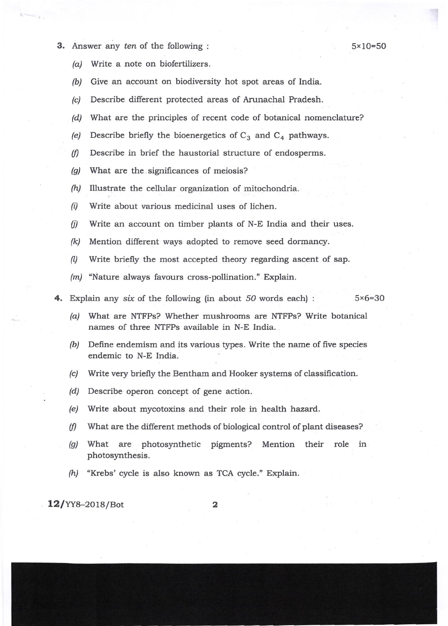3. Answer any ten of the following :  $5 \times 10 = 50$ 

- (a) Write a note on biofertilizers.
- (b) Give an account on biodiversity hot spot areas of India.
- (c) Describe different protected areas of Arunachal Pradesh.
- (d) What are the principles of recent code of botanical nomenclature?
- (e) Describe briefly the bioenergetics of  $C_3$  and  $C_4$  pathways.
- $(f)$  Describe in brief the haustorial structure of endosperms.
- $(q)$  What are the significances of meiosis?
- $(h)$  Illustrate the cellular organization of mitochondria.
- $(i)$  Write about various medicinal uses of lichen.
- $(i)$  Write an account on timber plants of N-E India and their uses.
- $(k)$  Mention different ways adopted to remove seed dormancy.
- A) Write briefly the most accepted theory regarding ascent of sap.
- (m) "Nature always favours cross-pollination." Explain.
- 4. Explain any six of the following (in about 50 words each) :  $5 \times 6 = 30$ 
	- $(a)$  What are NTFPs? Whether mushrooms are NTFPs? Write botanical names of three NTFPs available in N-E India.
	- (b) Define endemism and its various types. Write the name of five species endemic to N-E India.
	- (c) Write very briefly the Bentham and Hooker systems of classification.
	- /d/ Describe operon concept of gene action.
	- (e) Write about mycotoxins and their role in health hazard.
	- $(f)$  What are the different methods of biological control of plant diseases?
	- @) What are photosynthetic pigments? Mention their role in photosynthesis .
	- $(h)$  "Krebs' cycle is also known as TCA cycle." Explain.

 $12$ /YY8-2018/Bot 2